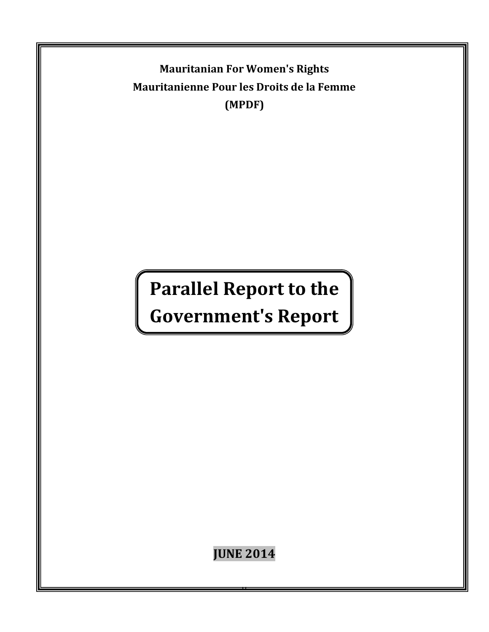**Mauritanian For Women's Rights Mauritanienne Pour les Droits de la Femme (MPDF)**

# **Parallel Report to the**

## **Government's Report**

**JUNE 2014**

0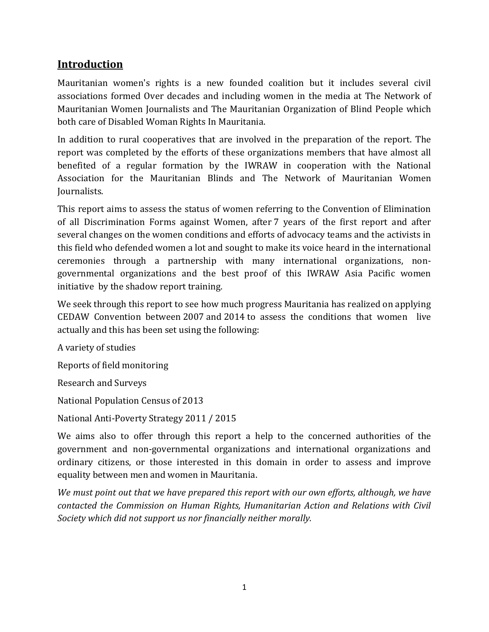## **Introduction**

Mauritanian women's rights is a new founded coalition but it includes several civil associations formed Over decades and including women in the media at The Network of Mauritanian Women Journalists and The Mauritanian Organization of Blind People which both care of Disabled Woman Rights In Mauritania.

In addition to rural cooperatives that are involved in the preparation of the report. The report was completed by the efforts of these organizations members that have almost all benefited of a regular formation by the IWRAW in cooperation with the National Association for the Mauritanian Blinds and The Network of Mauritanian Women Journalists.

This report aims to assess the status of women referring to the Convention of Elimination of all Discrimination Forms against Women, after 7 years of the first report and after several changes on the women conditions and efforts of advocacy teams and the activists in this field who defended women a lot and sought to make its voice heard in the international ceremonies through a partnership with many international organizations, nongovernmental organizations and the best proof of this IWRAW Asia Pacific women initiative by the shadow report training.

We seek through this report to see how much progress Mauritania has realized on applying CEDAW Convention between 2007 and 2014 to assess the conditions that women live actually and this has been set using the following:

A variety of studies

Reports of field monitoring

Research and Surveys

National Population Census of 2013

National Anti-Poverty Strategy 2011 / 2015

We aims also to offer through this report a help to the concerned authorities of the government and non-governmental organizations and international organizations and ordinary citizens, or those interested in this domain in order to assess and improve equality between men and women in Mauritania.

*We must point out that we have prepared this report with our own efforts, although, we have contacted the Commission on Human Rights, Humanitarian Action and Relations with Civil Society which did not support us nor financially neither morally.*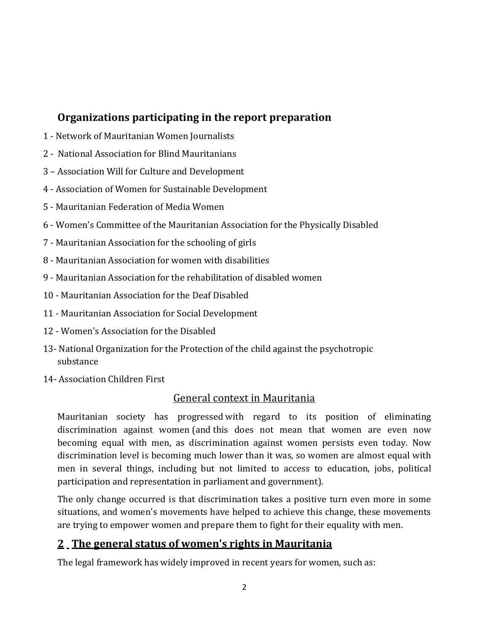## **Organizations participating in the report preparation**

- 1 Network of Mauritanian Women Journalists
- 2 National Association for Blind Mauritanians
- 3 Association Will for Culture and Development
- 4 Association of Women for Sustainable Development
- 5 Mauritanian Federation of Media Women
- 6 Women's Committee of the Mauritanian Association for the Physically Disabled
- 7 Mauritanian Association for the schooling of girls
- 8 Mauritanian Association for women with disabilities
- 9 Mauritanian Association for the rehabilitation of disabled women
- 10 Mauritanian Association for the Deaf Disabled
- 11 Mauritanian Association for Social Development
- 12 Women's Association for the Disabled
- 13- National Organization for the Protection of the child against the psychotropic substance
- 14- Association Children First

#### General context in Mauritania

Mauritanian society has progressed with regard to its position of eliminating discrimination against women (and this does not mean that women are even now becoming equal with men, as discrimination against women persists even today. Now discrimination level is becoming much lower than it was, so women are almost equal with men in several things, including but not limited to access to education, jobs, political participation and representation in parliament and government).

The only change occurred is that discrimination takes a positive turn even more in some situations, and women's movements have helped to achieve this change, these movements are trying to empower women and prepare them to fight for their equality with men.

## **2 The general status of women's rights in Mauritania**

The legal framework has widely improved in recent years for women, such as: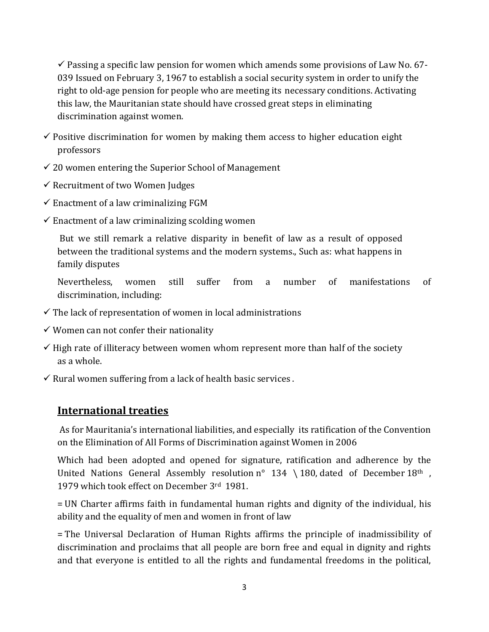$\checkmark$  Passing a specific law pension for women which amends some provisions of Law No. 67-039 Issued on February 3, 1967 to establish a social security system in order to unify the right to old-age pension for people who are meeting its necessary conditions. Activating this law, the Mauritanian state should have crossed great steps in eliminating discrimination against women.

- $\checkmark$  Positive discrimination for women by making them access to higher education eight professors
- $\checkmark$  20 women entering the Superior School of Management
- $\checkmark$  Recruitment of two Women Judges
- $\checkmark$  Enactment of a law criminalizing FGM
- $\checkmark$  Enactment of a law criminalizing scolding women

But we still remark a relative disparity in benefit of law as a result of opposed between the traditional systems and the modern systems., Such as: what happens in family disputes

Nevertheless, women still suffer from a number of manifestations of discrimination, including:

- $\checkmark$  The lack of representation of women in local administrations
- $\checkmark$  Women can not confer their nationality
- $\checkmark$  High rate of illiteracy between women whom represent more than half of the society as a whole.
- $\checkmark$  Rural women suffering from a lack of health basic services.

#### **International treaties**

As for Mauritania's international liabilities, and especially its ratification of the Convention on the Elimination of All Forms of Discrimination against Women in 2006

Which had been adopted and opened for signature, ratification and adherence by the United Nations General Assembly resolution  $n^{\circ}$  134 \ 180, dated of December 18<sup>th</sup>, 1979 which took effect on December 3rd 1981.

= UN Charter affirms faith in fundamental human rights and dignity of the individual, his ability and the equality of men and women in front of law

= The Universal Declaration of Human Rights affirms the principle of inadmissibility of discrimination and proclaims that all people are born free and equal in dignity and rights and that everyone is entitled to all the rights and fundamental freedoms in the political,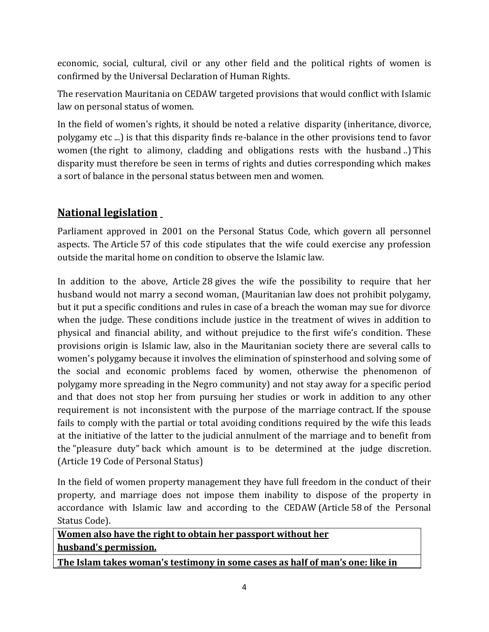economic, social, cultural, civil or any other field and the political rights of women is confirmed by the Universal Declaration of Human Rights.

The reservation Mauritania on CEDAW targeted provisions that would conflict with Islamic law on personal status of women.

In the field of women's rights, it should be noted a relative disparity (inheritance, divorce, polygamy etc ...) is that this disparity finds re-balance in the other provisions tend to favor women (the right to alimony, cladding and obligations rests with the husband ..) This disparity must therefore be seen in terms of rights and duties corresponding which makes a sort of balance in the personal status between men and women.

## **National legislation**

Parliament approved in 2001 on the Personal Status Code, which govern all personnel aspects. The Article 57 of this code stipulates that the wife could exercise any profession outside the marital home on condition to observe the Islamic law.

In addition to the above, Article 28 gives the wife the possibility to require that her husband would not marry a second woman, (Mauritanian law does not prohibit polygamy, but it put a specific conditions and rules in case of a breach the woman may sue for divorce when the judge. These conditions include justice in the treatment of wives in addition to physical and financial ability, and without prejudice to the first wife's condition. These provisions origin is Islamic law, also in the Mauritanian society there are several calls to women's polygamy because it involves the elimination of spinsterhood and solving some of the social and economic problems faced by women, otherwise the phenomenon of polygamy more spreading in the Negro community) and not stay away for a specific period and that does not stop her from pursuing her studies or work in addition to any other requirement is not inconsistent with the purpose of the marriage contract. If the spouse fails to comply with the partial or total avoiding conditions required by the wife this leads at the initiative of the latter to the judicial annulment of the marriage and to benefit from the "pleasure duty" back which amount is to be determined at the judge discretion. (Article 19 Code of Personal Status)

In the field of women property management they have full freedom in the conduct of their property, and marriage does not impose them inability to dispose of the property in accordance with Islamic law and according to the CEDAW (Article 58 of the Personal Status Code).

**Women also have the right to obtain her passport without her husband's permission.**

**The Islam takes woman's testimony in some cases as half of man's one: like in**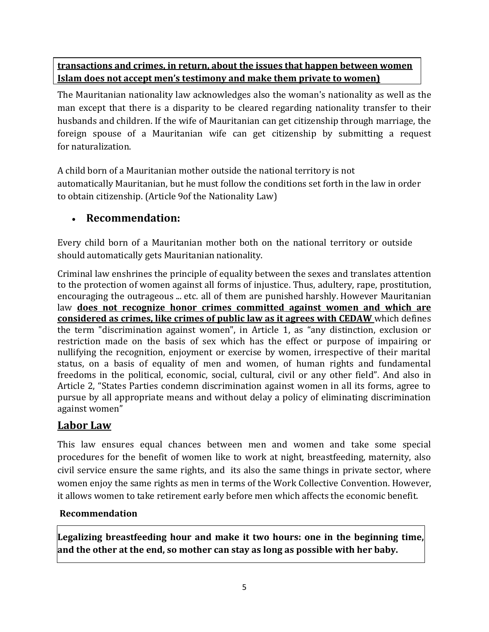#### **transactions and crimes, in return, about the issues that happen between women Islam does not accept men's testimony and make them private to women)**

The Mauritanian nationality law acknowledges also the woman's nationality as well as the man except that there is a disparity to be cleared regarding nationality transfer to their husbands and children. If the wife of Mauritanian can get citizenship through marriage, the foreign spouse of a Mauritanian wife can get citizenship by submitting a request for naturalization.

A child born of a Mauritanian mother outside the national territory is not automatically Mauritanian, but he must follow the conditions set forth in the law in order to obtain citizenship. (Article 9of the Nationality Law)

## **Recommendation:**

Every child born of a Mauritanian mother both on the national territory or outside should automatically gets Mauritanian nationality.

Criminal law enshrines the principle of equality between the sexes and translates attention to the protection of women against all forms of injustice. Thus, adultery, rape, prostitution, encouraging the outrageous ... etc. all of them are punished harshly. However Mauritanian law **does not recognize honor crimes committed against women and which are considered as crimes, like crimes of public law as it agrees with CEDAW** which defines the term "discrimination against women", in Article 1, as "any distinction, exclusion or restriction made on the basis of sex which has the effect or purpose of impairing or nullifying the recognition, enjoyment or exercise by women, irrespective of their marital status, on a basis of equality of men and women, of human rights and fundamental freedoms in the political, economic, social, cultural, civil or any other field". And also in Article 2, "States Parties condemn discrimination against women in all its forms, agree to pursue by all appropriate means and without delay a policy of eliminating discrimination against women"

#### **Labor Law**

This law ensures equal chances between men and women and take some special procedures for the benefit of women like to work at night, breastfeeding, maternity, also civil service ensure the same rights, and its also the same things in private sector, where women enjoy the same rights as men in terms of the Work Collective Convention. However, it allows women to take retirement early before men which affects the economic benefit.

#### **Recommendation**

**Legalizing breastfeeding hour and make it two hours: one in the beginning time, and the other at the end, so mother can stay as long as possible with her baby.**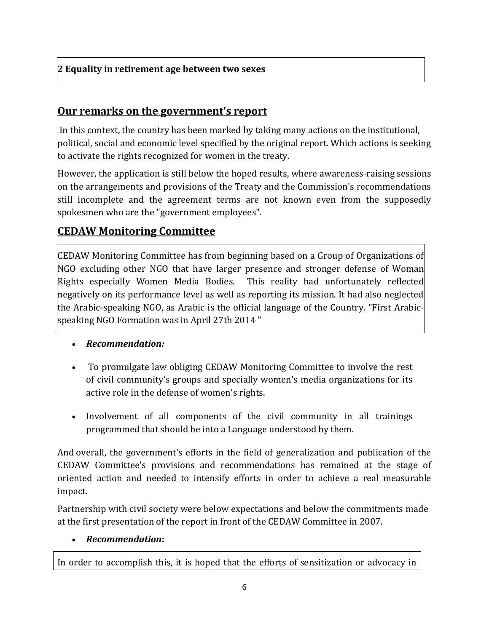## **Our remarks on the government's report**

In this context, the country has been marked by taking many actions on the institutional, political, social and economic level specified by the original report. Which actions is seeking to activate the rights recognized for women in the treaty.

However, the application is still below the hoped results, where awareness-raising sessions on the arrangements and provisions of the Treaty and the Commission's recommendations still incomplete and the agreement terms are not known even from the supposedly spokesmen who are the "government employees".

## **CEDAW Monitoring Committee**

CEDAW Monitoring Committee has from beginning based on a Group of Organizations of NGO excluding other NGO that have larger presence and stronger defense of Woman Rights especially Women Media Bodies. This reality had unfortunately reflected negatively on its performance level as well as reporting its mission. It had also neglected the Arabic-speaking NGO, as Arabic is the official language of the Country. "First Arabicspeaking NGO Formation was in April 27th 2014 "

- *Recommendation:*
- To promulgate law obliging CEDAW Monitoring Committee to involve the rest of civil community's groups and specially women's media organizations for its active role in the defense of women's rights.
- Involvement of all components of the civil community in all trainings programmed that should be into a Language understood by them.

And overall, the government's efforts in the field of generalization and publication of the CEDAW Committee's provisions and recommendations has remained at the stage of oriented action and needed to intensify efforts in order to achieve a real measurable impact.

Partnership with civil society were below expectations and below the commitments made at the first presentation of the report in front of the CEDAW Committee in 2007.

#### *Recommendation***:**

In order to accomplish this, it is hoped that the efforts of sensitization or advocacy in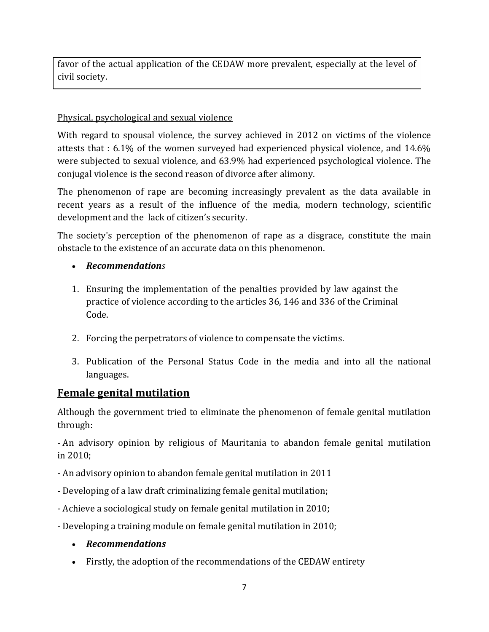favor of the actual application of the CEDAW more prevalent, especially at the level of civil society.

#### Physical, psychological and sexual violence

With regard to spousal violence, the survey achieved in 2012 on victims of the violence attests that : 6.1% of the women surveyed had experienced physical violence, and 14.6% were subjected to sexual violence, and 63.9% had experienced psychological violence. The conjugal violence is the second reason of divorce after alimony.

The phenomenon of rape are becoming increasingly prevalent as the data available in recent years as a result of the influence of the media, modern technology, scientific development and the lack of citizen's security.

The society's perception of the phenomenon of rape as a disgrace, constitute the main obstacle to the existence of an accurate data on this phenomenon.

#### *Recommendations*

- 1. Ensuring the implementation of the penalties provided by law against the practice of violence according to the articles 36, 146 and 336 of the Criminal Code.
- 2. Forcing the perpetrators of violence to compensate the victims.
- 3. Publication of the Personal Status Code in the media and into all the national languages.

#### **Female genital mutilation**

Although the government tried to eliminate the phenomenon of female genital mutilation through:

- An advisory opinion by religious of Mauritania to abandon female genital mutilation in 2010;

- An advisory opinion to abandon female genital mutilation in 2011
- Developing of a law draft criminalizing female genital mutilation;
- Achieve a sociological study on female genital mutilation in 2010;
- Developing a training module on female genital mutilation in 2010;
	- *Recommendations*
	- Firstly, the adoption of the recommendations of the CEDAW entirety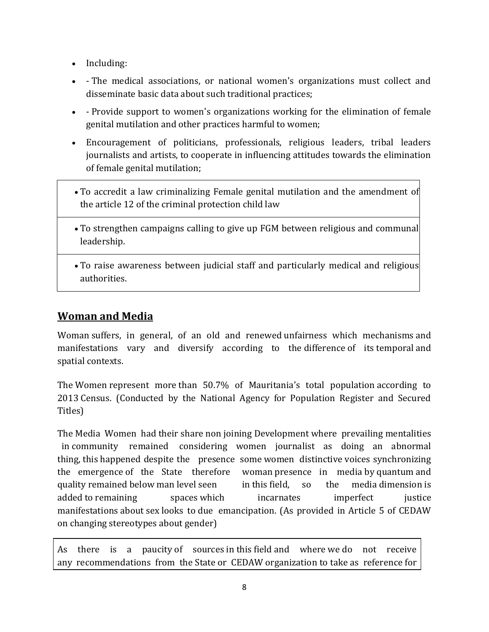- Including:
- The medical associations, or national women's organizations must collect and disseminate basic data about such traditional practices;
- Provide support to women's organizations working for the elimination of female genital mutilation and other practices harmful to women;
- Encouragement of politicians, professionals, religious leaders, tribal leaders journalists and artists, to cooperate in influencing attitudes towards the elimination of female genital mutilation;
- To accredit a law criminalizing Female genital mutilation and the amendment of the article 12 of the criminal protection child law
- To strengthen campaigns calling to give up FGM between religious and communal leadership.
- To raise awareness between judicial staff and particularly medical and religious authorities.

## **Woman and Media**

Woman suffers, in general, of an old and renewed unfairness which mechanisms and manifestations vary and diversify according to the difference of its temporal and spatial contexts.

The Women represent more than 50.7% of Mauritania's total population according to 2013 Census. (Conducted by the National Agency for Population Register and Secured Titles)

The Media Women had their share non joining Development where prevailing mentalities in community remained considering women journalist as doing an abnormal thing, this happened despite the presence some women distinctive voices synchronizing the emergence of the State therefore woman presence in media by quantum and quality remained below man level seen in this field, so the media dimension is added to remaining spaces which incarnates imperfect instice manifestations about sex looks to due emancipation. (As provided in Article 5 of CEDAW on changing stereotypes about gender)

As there is a paucity of sources in this field and where we do not receive any recommendations from the State or CEDAW organization to take as reference for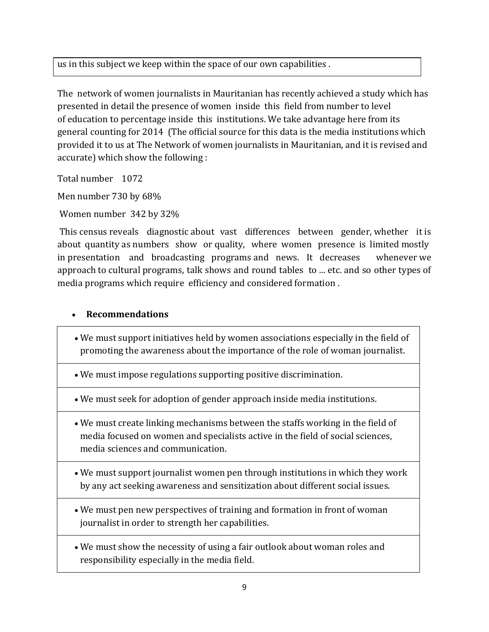us in this subject we keep within the space of our own capabilities .

The network of women journalists in Mauritanian has recently achieved a study which has presented in detail the presence of women inside this field from number to level of education to percentage inside this institutions. We take advantage here from its general counting for 2014 (The official source for this data is the media institutions which provided it to us at The Network of women journalists in Mauritanian, and it is revised and accurate) which show the following :

Total number 1072

Men number 730 by 68%

Women number 342 by 32%

This census reveals diagnostic about vast differences between gender, whether it is about quantity as numbers show or quality, where women presence is limited mostly in presentation and broadcasting programs and news. It decreases whenever we approach to cultural programs, talk shows and round tables to ... etc. and so other types of media programs which require efficiency and considered formation .

#### **Recommendations**

- We must support initiatives held by women associations especially in the field of promoting the awareness about the importance of the role of woman journalist.
- We must impose regulations supporting positive discrimination.
- We must seek for adoption of gender approach inside media institutions.
- We must create linking mechanisms between the staffs working in the field of media focused on women and specialists active in the field of social sciences, media sciences and communication.
- We must support journalist women pen through institutions in which they work by any act seeking awareness and sensitization about different social issues.
- We must pen new perspectives of training and formation in front of woman journalist in order to strength her capabilities.
- We must show the necessity of using a fair outlook about woman roles and responsibility especially in the media field.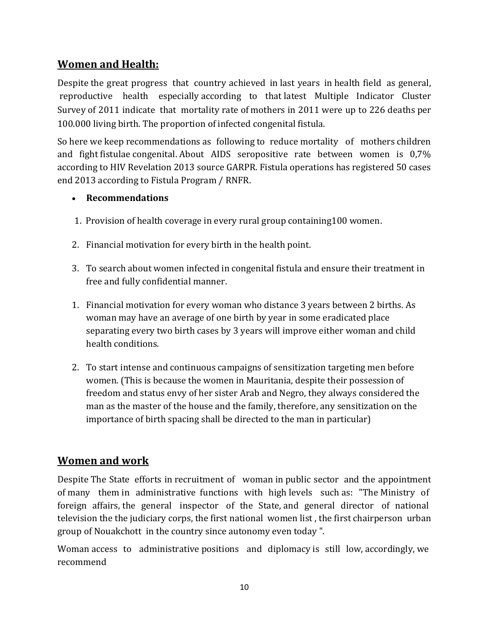## **Women and Health:**

Despite the great progress that country achieved in last years in health field as general, reproductive health especially according to that latest Multiple Indicator Cluster Survey of 2011 indicate that mortality rate of mothers in 2011 were up to 226 deaths per 100.000 living birth. The proportion of infected congenital fistula.

So here we keep recommendations as following to reduce mortality of mothers children and fight fistulae congenital. About AIDS seropositive rate between women is 0,7% according to HIV Revelation 2013 source GARPR. Fistula operations has registered 50 cases end 2013 according to Fistula Program / RNFR.

#### **Recommendations**

- 1. Provision of health coverage in every rural group containing100 women.
- 2. Financial motivation for every birth in the health point.
- 3. To search about women infected in congenital fistula and ensure their treatment in free and fully confidential manner.
- 1. Financial motivation for every woman who distance 3 years between 2 births. As woman may have an average of one birth by year in some eradicated place separating every two birth cases by 3 years will improve either woman and child health conditions.
- 2. To start intense and continuous campaigns of sensitization targeting men before women. (This is because the women in Mauritania, despite their possession of freedom and status envy of her sister Arab and Negro, they always considered the man as the master of the house and the family, therefore, any sensitization on the importance of birth spacing shall be directed to the man in particular)

## **Women and work**

Despite The State efforts in recruitment of woman in public sector and the appointment of many them in administrative functions with high levels such as: "The Ministry of foreign affairs, the general inspector of the State, and general director of national television the the judiciary corps, the first national women list , the first chairperson urban group of Nouakchott in the country since autonomy even today ".

Woman access to administrative positions and diplomacy is still low, accordingly, we recommend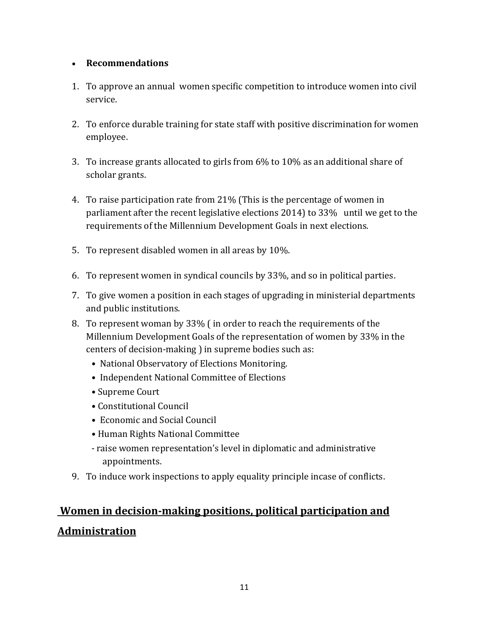#### **Recommendations**

- 1. To approve an annual women specific competition to introduce women into civil service.
- 2. To enforce durable training for state staff with positive discrimination for women employee.
- 3. To increase grants allocated to girls from 6% to 10% as an additional share of scholar grants.
- 4. To raise participation rate from 21% (This is the percentage of women in parliament after the recent legislative elections 2014) to 33% until we get to the requirements of the Millennium Development Goals in next elections.
- 5. To represent disabled women in all areas by 10%.
- 6. To represent women in syndical councils by 33%, and so in political parties.
- 7. To give women a position in each stages of upgrading in ministerial departments and public institutions.
- 8. To represent woman by 33% ( in order to reach the requirements of the Millennium Development Goals of the representation of women by 33% in the centers of decision-making ) in supreme bodies such as:
	- National Observatory of Elections Monitoring.
	- Independent National Committee of Elections
	- Supreme Court
	- Constitutional Council
	- Economic and Social Council
	- Human Rights National Committee
	- raise women representation's level in diplomatic and administrative appointments.
- 9. To induce work inspections to apply equality principle incase of conflicts.

## **Women in decision-making positions, political participation and Administration**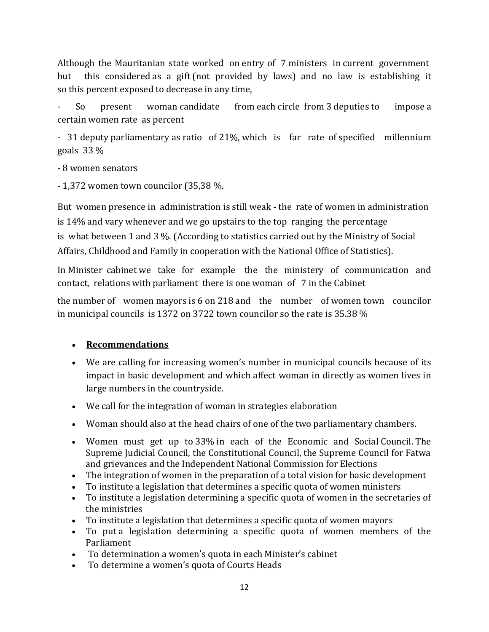Although the Mauritanian state worked on entry of 7 ministers in current government but this considered as a gift (not provided by laws) and no law is establishing it so this percent exposed to decrease in any time,

So present woman candidate from each circle from 3 deputies to impose a certain women rate as percent

- 31 deputy parliamentary as ratio of 21%, which is far rate of specified millennium goals 33 %

- 8 women senators

- 1,372 women town councilor (35,38 %.

But women presence in administration is still weak - the rate of women in administration is 14% and vary whenever and we go upstairs to the top ranging the percentage is what between 1 and 3 %. (According to statistics carried out by the Ministry of Social Affairs, Childhood and Family in cooperation with the National Office of Statistics).

In Minister cabinet we take for example the the ministery of communication and contact, relations with parliament there is one woman of 7 in the Cabinet

the number of women mayors is 6 on 218 and the number of women town councilor in municipal councils is 1372 on 3722 town councilor so the rate is 35.38 %

#### **Recommendations**

- We are calling for increasing women's number in municipal councils because of its impact in basic development and which affect woman in directly as women lives in large numbers in the countryside.
- We call for the integration of woman in strategies elaboration
- Woman should also at the head chairs of one of the two parliamentary chambers.
- Women must get up to 33% in each of the Economic and Social Council. The Supreme Judicial Council, the Constitutional Council, the Supreme Council for Fatwa and grievances and the Independent National Commission for Elections
- The integration of women in the preparation of a total vision for basic development
- To institute a legislation that determines a specific quota of women ministers
- To institute a legislation determining a specific quota of women in the secretaries of the ministries
- To institute a legislation that determines a specific quota of women mayors
- To put a legislation determining a specific quota of women members of the Parliament
- To determination a women's quota in each Minister's cabinet
- To determine a women's quota of Courts Heads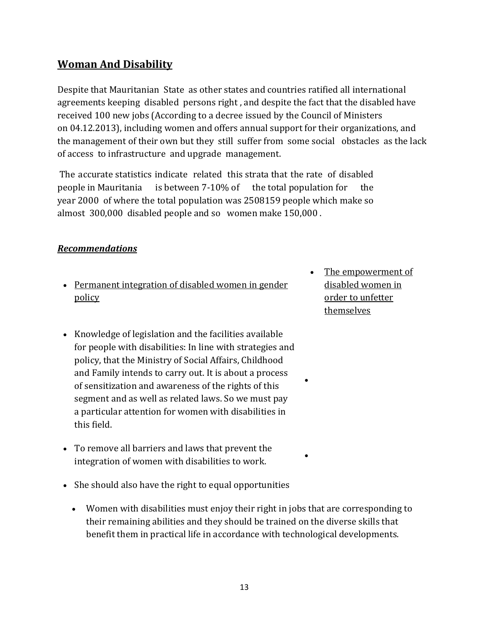## **Woman And Disability**

Despite that Mauritanian State as other states and countries ratified all international agreements keeping disabled persons right , and despite the fact that the disabled have received 100 new jobs (According to a decree issued by the Council of Ministers on 04.12.2013), including women and offers annual support for their organizations, and the management of their own but they still suffer from some social obstacles as the lack of access to infrastructure and upgrade management.

The accurate statistics indicate related this strata that the rate of disabled people in Mauritania is between 7-10% of the total population for the year 2000 of where the total population was 2508159 people which make so almost 300,000 disabled people and so women make 150,000 .

#### *Recommendations*

- Permanent integration of disabled women in gender policy
- Knowledge of legislation and the facilities available for people with disabilities: In line with strategies and policy, that the Ministry of Social Affairs, Childhood and Family intends to carry out. It is about a process of sensitization and awareness of the rights of this segment and as well as related laws. So we must pay a particular attention for women with disabilities in this field.
- To remove all barriers and laws that prevent the integration of women with disabilities to work.
- She should also have the right to equal opportunities
	- Women with disabilities must enjoy their right in jobs that are corresponding to their remaining abilities and they should be trained on the diverse skills that benefit them in practical life in accordance with technological developments.

 The empowerment of disabled women in order to unfetter themselves

 $\bullet$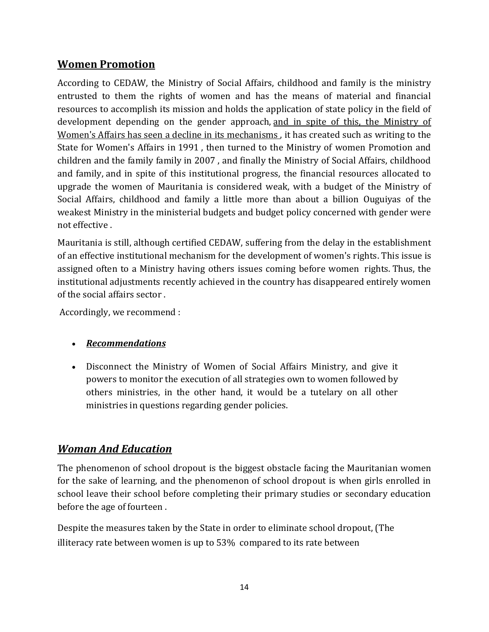## **Women Promotion**

According to CEDAW, the Ministry of Social Affairs, childhood and family is the ministry entrusted to them the rights of women and has the means of material and financial resources to accomplish its mission and holds the application of state policy in the field of development depending on the gender approach, and in spite of this, the Ministry of Women's Affairs has seen a decline in its mechanisms , it has created such as writing to the State for Women's Affairs in 1991 , then turned to the Ministry of women Promotion and children and the family family in 2007 , and finally the Ministry of Social Affairs, childhood and family, and in spite of this institutional progress, the financial resources allocated to upgrade the women of Mauritania is considered weak, with a budget of the Ministry of Social Affairs, childhood and family a little more than about a billion Ouguiyas of the weakest Ministry in the ministerial budgets and budget policy concerned with gender were not effective .

Mauritania is still, although certified CEDAW, suffering from the delay in the establishment of an effective institutional mechanism for the development of women's rights. This issue is assigned often to a Ministry having others issues coming before women rights. Thus, the institutional adjustments recently achieved in the country has disappeared entirely women of the social affairs sector .

Accordingly, we recommend :

#### *Recommendations*

 Disconnect the Ministry of Women of Social Affairs Ministry, and give it powers to monitor the execution of all strategies own to women followed by others ministries, in the other hand, it would be a tutelary on all other ministries in questions regarding gender policies.

#### *Woman And Education*

The phenomenon of school dropout is the biggest obstacle facing the Mauritanian women for the sake of learning, and the phenomenon of school dropout is when girls enrolled in school leave their school before completing their primary studies or secondary education before the age of fourteen .

Despite the measures taken by the State in order to eliminate school dropout, (The illiteracy rate between women is up to 53% compared to its rate between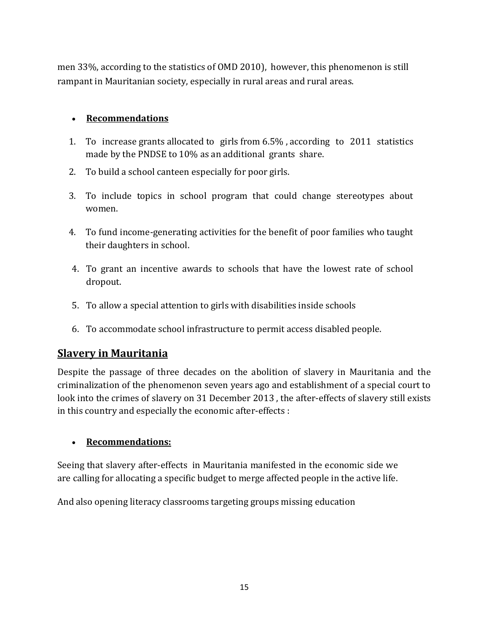men 33%, according to the statistics of OMD 2010), however, this phenomenon is still rampant in Mauritanian society, especially in rural areas and rural areas.

#### **Recommendations**

- 1. To increase grants allocated to girls from 6.5% , according to 2011 statistics made by the PNDSE to 10% as an additional grants share.
- 2. To build a school canteen especially for poor girls.
- 3. To include topics in school program that could change stereotypes about women.
- 4. To fund income-generating activities for the benefit of poor families who taught their daughters in school.
- 4. To grant an incentive awards to schools that have the lowest rate of school dropout.
- 5. To allow a special attention to girls with disabilities inside schools
- 6. To accommodate school infrastructure to permit access disabled people.

## **Slavery in Mauritania**

Despite the passage of three decades on the abolition of slavery in Mauritania and the criminalization of the phenomenon seven years ago and establishment of a special court to look into the crimes of slavery on 31 December 2013 , the after-effects of slavery still exists in this country and especially the economic after-effects :

#### **Recommendations:**

Seeing that slavery after-effects in Mauritania manifested in the economic side we are calling for allocating a specific budget to merge affected people in the active life.

And also opening literacy classrooms targeting groups missing education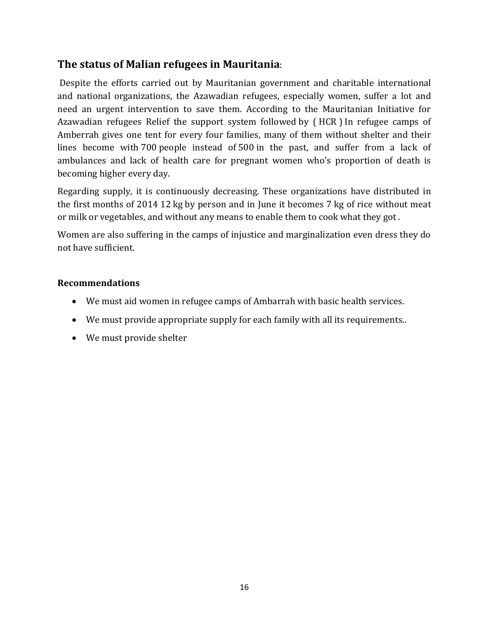## **The status of Malian refugees in Mauritania**:

Despite the efforts carried out by Mauritanian government and charitable international and national organizations, the Azawadian refugees, especially women, suffer a lot and need an urgent intervention to save them. According to the Mauritanian Initiative for Azawadian refugees Relief the support system followed by ( HCR ) In refugee camps of Amberrah gives one tent for every four families, many of them without shelter and their lines become with 700 people instead of 500 in the past, and suffer from a lack of ambulances and lack of health care for pregnant women who's proportion of death is becoming higher every day.

Regarding supply, it is continuously decreasing. These organizations have distributed in the first months of 2014 12 kg by person and in June it becomes 7 kg of rice without meat or milk or vegetables, and without any means to enable them to cook what they got .

Women are also suffering in the camps of injustice and marginalization even dress they do not have sufficient.

#### **Recommendations**

- We must aid women in refugee camps of Ambarrah with basic health services.
- We must provide appropriate supply for each family with all its requirements..
- We must provide shelter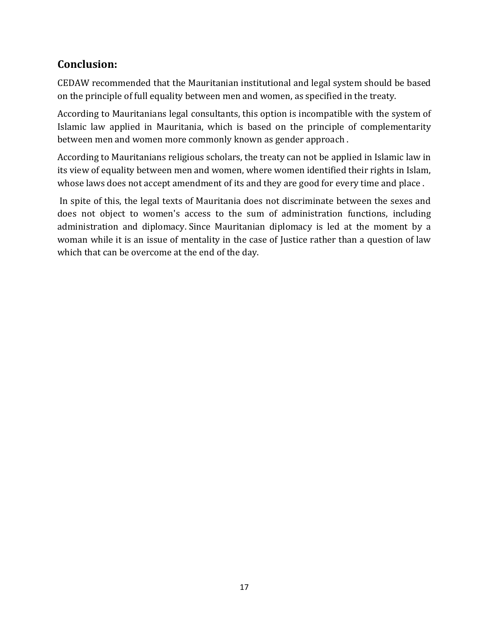## **Conclusion:**

CEDAW recommended that the Mauritanian institutional and legal system should be based on the principle of full equality between men and women, as specified in the treaty.

According to Mauritanians legal consultants, this option is incompatible with the system of Islamic law applied in Mauritania, which is based on the principle of complementarity between men and women more commonly known as gender approach .

According to Mauritanians religious scholars, the treaty can not be applied in Islamic law in its view of equality between men and women, where women identified their rights in Islam, whose laws does not accept amendment of its and they are good for every time and place .

In spite of this, the legal texts of Mauritania does not discriminate between the sexes and does not object to women's access to the sum of administration functions, including administration and diplomacy. Since Mauritanian diplomacy is led at the moment by a woman while it is an issue of mentality in the case of Justice rather than a question of law which that can be overcome at the end of the day.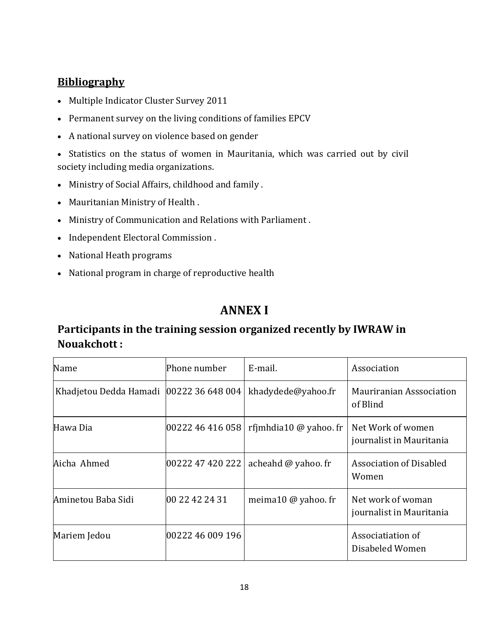## **Bibliography**

- Multiple Indicator Cluster Survey 2011
- Permanent survey on the living conditions of families EPCV
- A national survey on violence based on gender

 Statistics on the status of women in Mauritania, which was carried out by civil society including media organizations.

- Ministry of Social Affairs, childhood and family .
- Mauritanian Ministry of Health .
- Ministry of Communication and Relations with Parliament .
- Independent Electoral Commission.
- National Heath programs
- National program in charge of reproductive health

## **ANNEX I**

## **Participants in the training session organized recently by IWRAW in Nouakchott :**

| Name                                      | lPhone number    | E-mail.                | Association                                   |
|-------------------------------------------|------------------|------------------------|-----------------------------------------------|
| Khadjetou Dedda Hamadi   00222 36 648 004 |                  | khadydede@yahoo.fr     | Mauriranian Asssociation<br>of Blind          |
| Hawa Dia                                  | 00222 46 416 058 | rfimhdia10 @ yahoo. fr | Net Work of women<br>journalist in Mauritania |
| Aicha Ahmed                               | 00222 47 420 222 | acheahd @ yahoo. fr    | Association of Disabled<br>Women              |
| Aminetou Baba Sidi                        | 00 22 42 24 31   | meima10 @ yahoo. fr    | Net work of woman<br>journalist in Mauritania |
| Mariem Jedou                              | 00222 46 009 196 |                        | Associatiation of<br>Disabeled Women          |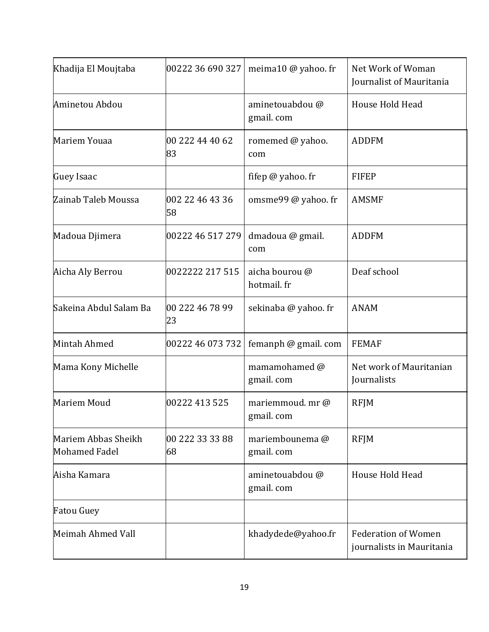| Khadija El Moujtaba                         | 00222 36 690 327      | meima10 @ yahoo. fr                     | Net Work of Woman<br>Journalist of Mauritania           |  |
|---------------------------------------------|-----------------------|-----------------------------------------|---------------------------------------------------------|--|
| Aminetou Abdou                              |                       | aminetouabdou@<br>gmail.com             | House Hold Head                                         |  |
| Mariem Youaa                                | 00 222 44 40 62<br>83 | <b>ADDFM</b><br>romemed @ yahoo.<br>com |                                                         |  |
| Guey Isaac                                  |                       | fifep @ yahoo. fr                       | <b>FIFEP</b>                                            |  |
| Zainab Taleb Moussa                         | 002 22 46 43 36<br>58 | omsme99 @ yahoo. fr                     | <b>AMSMF</b>                                            |  |
| Madoua Djimera                              | 00222 46 517 279      | dmadoua @ gmail.<br>com                 | <b>ADDFM</b>                                            |  |
| Aicha Aly Berrou                            | 0022222 217 515       | aicha bourou @<br>hotmail. fr           | Deaf school                                             |  |
| Sakeina Abdul Salam Ba                      | 00 222 46 78 99<br>23 | sekinaba @ yahoo. fr                    | <b>ANAM</b>                                             |  |
| Mintah Ahmed                                | 00222 46 073 732      | femanph @ gmail. com                    | <b>FEMAF</b>                                            |  |
| Mama Kony Michelle                          |                       | mamamohamed @<br>gmail.com              | Net work of Mauritanian<br>Journalists                  |  |
| Mariem Moud                                 | 00222 413 525         | mariemmoud. mr@<br>gmail.com            | <b>RFJM</b>                                             |  |
| Mariem Abbas Sheikh<br><b>Mohamed Fadel</b> | 00 222 33 33 88<br>68 | mariembounema@<br>gmail.com             | <b>RFJM</b>                                             |  |
| Aisha Kamara                                |                       | aminetouabdou @<br>gmail.com            | House Hold Head                                         |  |
| <b>Fatou Guey</b>                           |                       |                                         |                                                         |  |
| Meimah Ahmed Vall                           |                       | khadydede@yahoo.fr                      | <b>Federation of Women</b><br>journalists in Mauritania |  |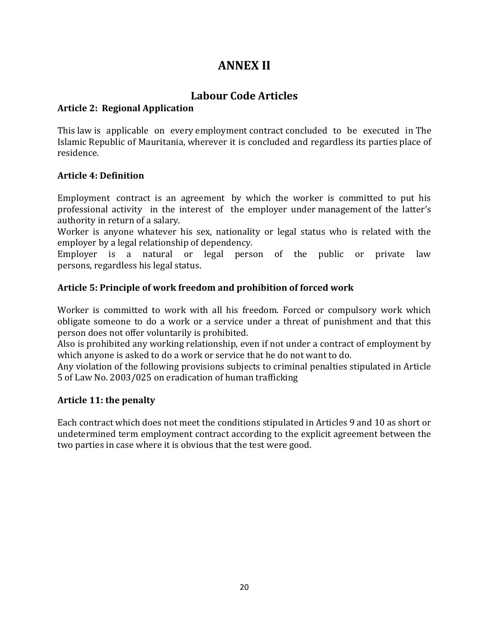## **ANNEX II**

## **Labour Code Articles**

#### **Article 2: Regional Application**

This law is applicable on every employment contract concluded to be executed in The Islamic Republic of Mauritania, wherever it is concluded and regardless its parties place of residence.

#### **Article 4: Definition**

Employment contract is an agreement by which the worker is committed to put his professional activity in the interest of the employer under management of the latter's authority in return of a salary.

Worker is anyone whatever his sex, nationality or legal status who is related with the employer by a legal relationship of dependency.

Employer is a natural or legal person of the public or private law persons, regardless his legal status.

#### **Article 5: Principle of work freedom and prohibition of forced work**

Worker is committed to work with all his freedom. Forced or compulsory work which obligate someone to do a work or a service under a threat of punishment and that this person does not offer voluntarily is prohibited.

Also is prohibited any working relationship, even if not under a contract of employment by which anyone is asked to do a work or service that he do not want to do.

Any violation of the following provisions subjects to criminal penalties stipulated in Article 5 of Law No. 2003/025 on eradication of human trafficking

#### **Article 11: the penalty**

Each contract which does not meet the conditions stipulated in Articles 9 and 10 as short or undetermined term employment contract according to the explicit agreement between the two parties in case where it is obvious that the test were good.